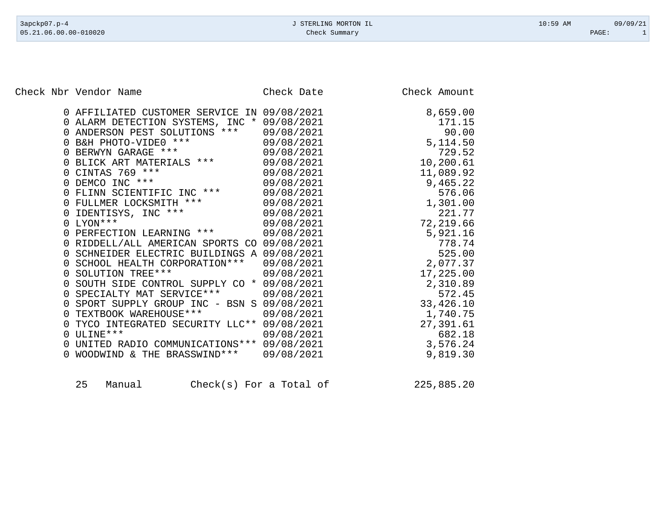Check Nbr Vendor Name Check Date Check Date Check Amount

| 0 AFFILIATED CUSTOMER SERVICE IN 09/08/2021                 |            | 8,659.00   |
|-------------------------------------------------------------|------------|------------|
| 0 ALARM DETECTION SYSTEMS, INC * 09/08/2021                 |            | 171.15     |
| 0 ANDERSON PEST SOLUTIONS ***                               | 09/08/2021 | 90.00      |
| 0 B&H PHOTO-VIDE0 ***                                       | 09/08/2021 | 5, 114.50  |
| 0 BERWYN GARAGE ***                                         | 09/08/2021 | 729.52     |
| 0 BLICK ART MATERIALS ***                                   | 09/08/2021 | 10,200.61  |
| 0 CINTAS 769 ***                                            | 09/08/2021 | 11,089.92  |
| DEMCO INC ***<br>$\Omega$                                   | 09/08/2021 | 9,465.22   |
| 0 FLINN SCIENTIFIC INC ***                                  | 09/08/2021 | 576.06     |
| 0 FULLMER LOCKSMITH ***                                     | 09/08/2021 | 1,301.00   |
| 0 IDENTISYS, INC ***                                        | 09/08/2021 | 221.77     |
| $0$ LYON ***                                                | 09/08/2021 | 72,219.66  |
| 0 PERFECTION LEARNING ***                                   | 09/08/2021 | 5,921.16   |
| 0 RIDDELL/ALL AMERICAN SPORTS CO 09/08/2021                 |            | 778.74     |
| 0 SCHNEIDER ELECTRIC BUILDINGS A 09/08/2021                 |            | 525.00     |
| 0 SCHOOL HEALTH CORPORATION ***                             | 09/08/2021 | 2,077.37   |
| 0 SOLUTION TREE***                                          | 09/08/2021 | 17,225.00  |
| SOUTH SIDE CONTROL SUPPLY CO * 09/08/2021<br>$\Omega$       |            | 2,310.89   |
| SPECIALTY MAT SERVICE ***<br>$\overline{0}$                 | 09/08/2021 | 572.45     |
| SPORT SUPPLY GROUP INC - BSN S 09/08/2021<br>$\overline{0}$ |            | 33, 426.10 |
| 0 TEXTBOOK WAREHOUSE ***                                    | 09/08/2021 | 1,740.75   |
| TYCO INTEGRATED SECURITY LLC** 09/08/2021<br>$\Omega$       |            | 27,391.61  |
| ULINE ***<br>$\overline{0}$                                 | 09/08/2021 | 682.18     |
| UNITED RADIO COMMUNICATIONS *** 09/08/2021<br>$\Omega$      |            | 3,576.24   |
| WOODWIND & THE BRASSWIND ***                                | 09/08/2021 | 9,819.30   |
|                                                             |            |            |

| 225,885.20<br>25<br>$Check(s)$ For a Total of<br>Manual |  |
|---------------------------------------------------------|--|
|---------------------------------------------------------|--|